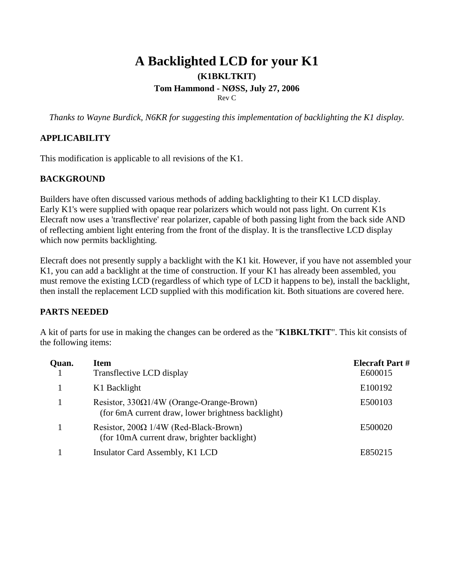# **A Backlighted LCD for your K1 (K1BKLTKIT) Tom Hammond - NØSS, July 27, 2006** Rev C

*Thanks to Wayne Burdick, N6KR for suggesting this implementation of backlighting the K1 display.*

# **APPLICABILITY**

This modification is applicable to all revisions of the K1.

# **BACKGROUND**

Builders have often discussed various methods of adding backlighting to their K1 LCD display. Early K1's were supplied with opaque rear polarizers which would not pass light. On current K1s Elecraft now uses a 'transflective' rear polarizer, capable of both passing light from the back side AND of reflecting ambient light entering from the front of the display. It is the transflective LCD display which now permits backlighting.

Elecraft does not presently supply a backlight with the K1 kit. However, if you have not assembled your K1, you can add a backlight at the time of construction. If your K1 has already been assembled, you must remove the existing LCD (regardless of which type of LCD it happens to be), install the backlight, then install the replacement LCD supplied with this modification kit. Both situations are covered here.

## **PARTS NEEDED**

A kit of parts for use in making the changes can be ordered as the "**K1BKLTKIT**". This kit consists of the following items:

| Quan. | <b>Item</b><br>Transflective LCD display                                                              | <b>Elecraft Part #</b><br>E600015 |
|-------|-------------------------------------------------------------------------------------------------------|-----------------------------------|
|       | K1 Backlight                                                                                          | E100192                           |
|       | Resistor, $330\Omega1/4W$ (Orange-Orange-Brown)<br>(for 6mA current draw, lower brightness backlight) | E500103                           |
|       | Resistor, $200\Omega$ 1/4W (Red-Black-Brown)<br>(for 10mA current draw, brighter backlight)           | E500020                           |
|       | Insulator Card Assembly, K1 LCD                                                                       | E850215                           |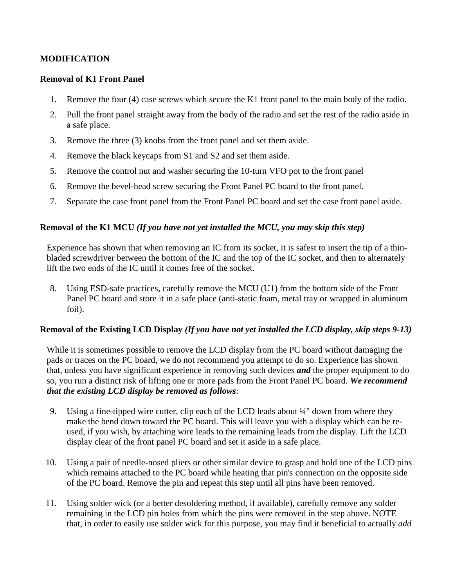## **MODIFICATION**

#### **Removal of K1 Front Panel**

- 1. Remove the four (4) case screws which secure the K1 front panel to the main body of the radio.
- 2. Pull the front panel straight away from the body of the radio and set the rest of the radio aside in a safe place.
- 3. Remove the three (3) knobs from the front panel and set them aside.
- 4. Remove the black keycaps from S1 and S2 and set them aside.
- 5. Remove the control nut and washer securing the 10-turn VFO pot to the front panel
- 6. Remove the bevel-head screw securing the Front Panel PC board to the front panel.
- 7. Separate the case front panel from the Front Panel PC board and set the case front panel aside.

#### **Removal of the K1 MCU** *(If you have not yet installed the MCU, you may skip this step)*

Experience has shown that when removing an IC from its socket, it is safest to insert the tip of a thinbladed screwdriver between the bottom of the IC and the top of the IC socket, and then to alternately lift the two ends of the IC until it comes free of the socket.

8. Using ESD-safe practices, carefully remove the MCU (U1) from the bottom side of the Front Panel PC board and store it in a safe place (anti-static foam, metal tray or wrapped in aluminum foil).

#### **Removal of the Existing LCD Display** *(If you have not yet installed the LCD display, skip steps 9-13)*

While it is sometimes possible to remove the LCD display from the PC board without damaging the pads or traces on the PC board, we do not recommend you attempt to do so. Experience has shown that, unless you have significant experience in removing such devices *and* the proper equipment to do so, you run a distinct risk of lifting one or more pads from the Front Panel PC board. *We recommend that the existing LCD display be removed as follows*:

- 9. Using a fine-tipped wire cutter, clip each of the LCD leads about ¼" down from where they make the bend down toward the PC board. This will leave you with a display which can be reused, if you wish, by attaching wire leads to the remaining leads from the display. Lift the LCD display clear of the front panel PC board and set it aside in a safe place.
- 10. Using a pair of needle-nosed pliers or other similar device to grasp and hold one of the LCD pins which remains attached to the PC board while heating that pin's connection on the opposite side of the PC board. Remove the pin and repeat this step until all pins have been removed.
- 11. Using solder wick (or a better desoldering method, if available), carefully remove any solder remaining in the LCD pin holes from which the pins were removed in the step above. NOTE that, in order to easily use solder wick for this purpose, you may find it beneficial to actually *add*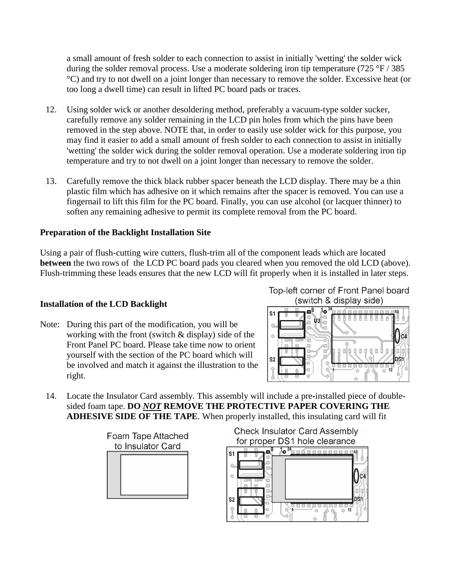a small amount of fresh solder to each connection to assist in initially 'wetting' the solder wick during the solder removal process. Use a moderate soldering iron tip temperature  $(725 \text{ °F} / 385$ °C) and try to not dwell on a joint longer than necessary to remove the solder. Excessive heat (or too long a dwell time) can result in lifted PC board pads or traces.

- 12. Using solder wick or another desoldering method, preferably a vacuum-type solder sucker, carefully remove any solder remaining in the LCD pin holes from which the pins have been removed in the step above. NOTE that, in order to easily use solder wick for this purpose, you may find it easier to add a small amount of fresh solder to each connection to assist in initially 'wetting' the solder wick during the solder removal operation. Use a moderate soldering iron tip temperature and try to not dwell on a joint longer than necessary to remove the solder.
- 13. Carefully remove the thick black rubber spacer beneath the LCD display. There may be a thin plastic film which has adhesive on it which remains after the spacer is removed. You can use a fingernail to lift this film for the PC board. Finally, you can use alcohol (or lacquer thinner) to soften any remaining adhesive to permit its complete removal from the PC board.

# **Preparation of the Backlight Installation Site**

Using a pair of flush-cutting wire cutters, flush-trim all of the component leads which are located **between** the two rows of the LCD PC board pads you cleared when you removed the old LCD (above). Flush-trimming these leads ensures that the new LCD will fit properly when it is installed in later steps.

## **Installation of the LCD Backlight**

Note: During this part of the modification, you will be working with the front (switch  $&$  display) side of the Front Panel PC board. Please take time now to orient yourself with the section of the PC board which will be involved and match it against the illustration to the right.

Top-left corner of Front Panel board (switch & display side)



14. Locate the Insulator Card assembly. This assembly will include a pre-installed piece of doublesided foam tape. **DO** *NOT* **REMOVE THE PROTECTIVE PAPER COVERING THE ADHESIVE SIDE OF THE TAPE**. When properly installed, this insulating card will fit

> Foam Tape Attached to Insulator Card



**Check Insulator Card Assembly** for proper DS1 hole clearance

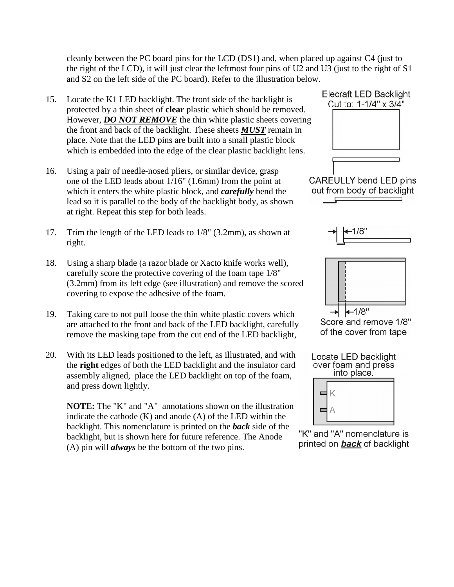cleanly between the PC board pins for the LCD (DS1) and, when placed up against C4 (just to the right of the LCD), it will just clear the leftmost four pins of U2 and U3 (just to the right of S1 and S2 on the left side of the PC board). Refer to the illustration below.

- 15. Locate the K1 LED backlight. The front side of the backlight is protected by a thin sheet of **clear** plastic which should be removed. However, *DO NOT REMOVE* the thin white plastic sheets covering the front and back of the backlight. These sheets *MUST* remain in place. Note that the LED pins are built into a small plastic block which is embedded into the edge of the clear plastic backlight lens.
- 16. Using a pair of needle-nosed pliers, or similar device, grasp one of the LED leads about 1/16" (1.6mm) from the point at which it enters the white plastic block, and *carefully* bend the lead so it is parallel to the body of the backlight body, as shown at right. Repeat this step for both leads.
- 17. Trim the length of the LED leads to 1/8" (3.2mm), as shown at right.
- 18. Using a sharp blade (a razor blade or Xacto knife works well), carefully score the protective covering of the foam tape 1/8" (3.2mm) from its left edge (see illustration) and remove the scored covering to expose the adhesive of the foam.
- 19. Taking care to not pull loose the thin white plastic covers which are attached to the front and back of the LED backlight, carefully remove the masking tape from the cut end of the LED backlight,
- 20. With its LED leads positioned to the left, as illustrated, and with the **right** edges of both the LED backlight and the insulator card assembly aligned, place the LED backlight on top of the foam, and press down lightly.

**NOTE:** The "K" and "A" annotations shown on the illustration indicate the cathode (K) and anode (A) of the LED within the backlight. This nomenclature is printed on the **back** side of the<br>heaklight, but is shown here for future reference. The Anode. "K" and "A" nomenclature is backlight, but is shown here for future reference. The Anode (A) pin will *always* be the bottom of the two pins.









Score and remove 1/8" of the cover from tape



printed on **back** of backlight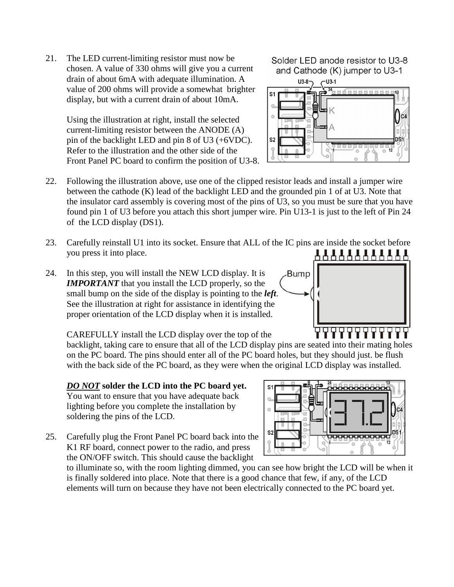21. The LED current-limiting resistor must now be chosen. A value of 330 ohms will give you a current drain of about 6mA with adequate illumination. A value of 200 ohms will provide a somewhat brighter display, but with a current drain of about 10mA.

> Using the illustration at right, install the selected current-limiting resistor between the ANODE (A) pin of the backlight LED and pin 8 of U3 (+6VDC). Refer to the illustration and the other side of the Front Panel PC board to confirm the position of U3-8.

Solder LED anode resistor to U3-8 and Cathode (K) jumper to U3-1



- 22. Following the illustration above, use one of the clipped resistor leads and install a jumper wire between the cathode (K) lead of the backlight LED and the grounded pin 1 of at U3. Note that the insulator card assembly is covering most of the pins of U3, so you must be sure that you have found pin 1 of U3 before you attach this short jumper wire. Pin U13-1 is just to the left of Pin 24 of the LCD display (DS1).
- 23. Carefully reinstall U1 into its socket. Ensure that ALL of the IC pins are inside the socket before 888888888888 you press it into place.
- 24. In this step, you will install the NEW LCD display. It is *IMPORTANT* that you install the LCD properly, so the small bump on the side of the display is pointing to the *left*. See the illustration at right for assistance in identifying the proper orientation of the LCD display when it is installed.

CAREFULLY install the LCD display over the top of the

backlight, taking care to ensure that all of the LCD display pins are seated into their mating holes on the PC board. The pins should enter all of the PC board holes, but they should just. be flush with the back side of the PC board, as they were when the original LCD display was installed.

*DO NOT* **solder the LCD into the PC board yet.** You want to ensure that you have adequate back lighting before you complete the installation by soldering the pins of the LCD.

25. Carefully plug the Front Panel PC board back into the K1 RF board, connect power to the radio, and press the ON/OFF switch. This should cause the backlight



to illuminate so, with the room lighting dimmed, you can see how bright the LCD will be when it is finally soldered into place. Note that there is a good chance that few, if any, of the LCD elements will turn on because they have not been electrically connected to the PC board yet.



┙┙┙┙